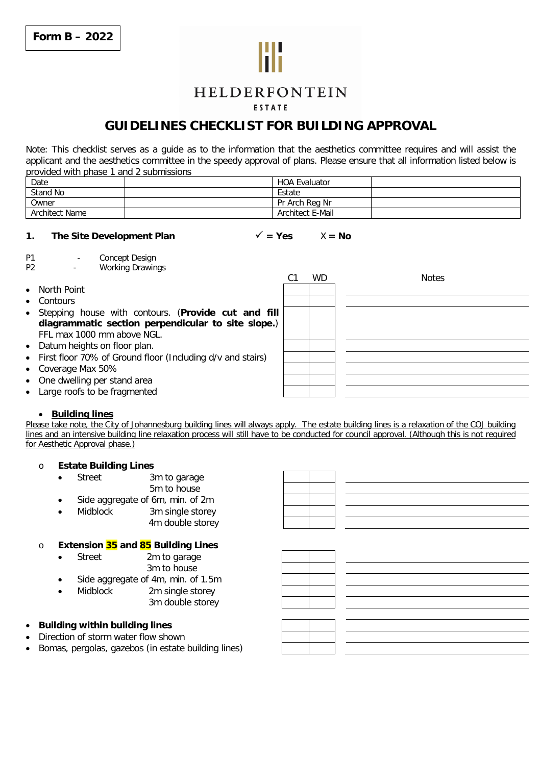

# HELDERFONTEIN

# **FSTATE**

# **GUIDELINES CHECKLIST FOR BUILDING APPROVAL**

*Note: This checklist serves as a guide as to the information that the aesthetics committee requires and will assist the applicant and the aesthetics committee in the speedy approval of plans. Please ensure that all information listed below is provided with phase 1 and 2 submissions*

| Date           | <b>HOA Evaluator</b> |  |
|----------------|----------------------|--|
| Stand No       | Estate               |  |
| Owner          | Pr Arch Reg Nr       |  |
| Architect Name | Architect E-Mail     |  |

# **1.** The Site Development Plan  $\checkmark$  = Yes  $X = No$

*P1 - Concept Design*

*P2 - Working Drawings C1 WD Notes* • North Point **Contours**  Stepping house with contours. (**Provide cut and fill diagrammatic section perpendicular to site slope.**) FFL max 1000 mm above NGL. • Datum heights on floor plan. First floor 70% of Ground floor (Including d/v and stairs)

- Coverage Max 50%
- One dwelling per stand area
- Large roofs to be fragmented

# **Building lines**

Please take note, the City of Johannesburg building lines will always apply. The estate building lines is a relaxation of the COJ building lines and an intensive building line relaxation process will still have to be conducted for council approval. (Although this is not required for Aesthetic Approval phase.)

## o **Estate Building Lines**

- Street 3m to garage 5m to house
- Side aggregate of 6m, min. of 2m
- Midblock 3m single storey 4m double storey

# o **Extension 35 and 85 Building Lines**

- Street 2m to garage
	- 3m to house
- Side aggregate of 4m, min. of 1.5m
	- Midblock 2m single storey 3m double storey
- **Building within building lines**
- Direction of storm water flow shown
- Bomas, pergolas, gazebos (in estate building lines)

| - |      |  |
|---|------|--|
|   |      |  |
|   |      |  |
|   |      |  |
|   |      |  |
|   |      |  |
|   | ____ |  |
|   |      |  |
|   |      |  |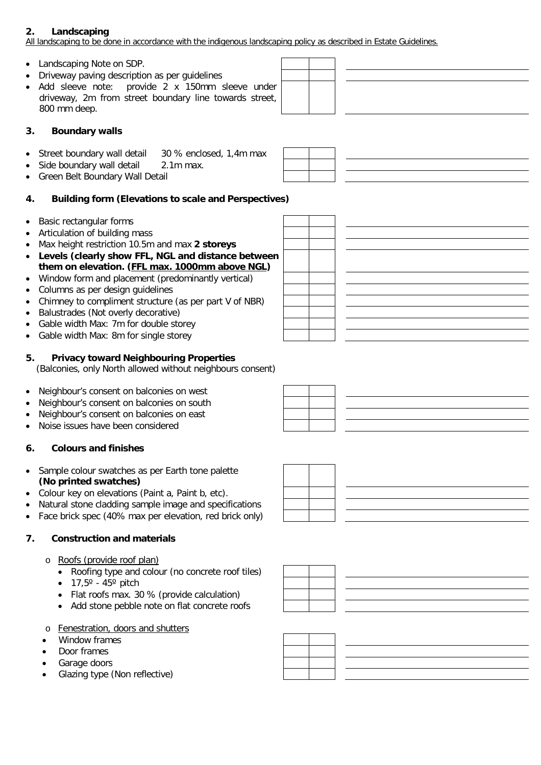# **2. Landscaping**

All landscaping to be done in accordance with the indigenous landscaping policy as described in Estate Guidelines.

- Landscaping Note on SDP.
- Driveway paving description as per quidelines
- Add sleeve note: provide 2 x 150mm sleeve under driveway, 2m from street boundary line towards street, 800 mm deep.

# **3. Boundary walls**

- Street boundary wall detail 30 % enclosed, 1,4m max
- Side boundary wall detail 2.1m max.
- Green Belt Boundary Wall Detail

# **4. Building form (Elevations to scale and Perspectives)**

- Basic rectangular forms
- Articulation of building mass
- Max height restriction 10.5m and max **2 storeys**
- **Levels (clearly show FFL, NGL and distance between them on elevation. (FFL max. 1000mm above NGL)**
- Window form and placement (predominantly vertical)
- Columns as per design guidelines
- Chimney to compliment structure (as per part V of NBR)
- Balustrades (Not overly decorative)
- Gable width Max: 7m for double storey
- Gable width Max: 8m for single storey

# **5. Privacy toward Neighbouring Properties**

(Balconies, only North allowed without neighbours consent)

- Neighbour's consent on balconies on west
- Neighbour's consent on balconies on south
- Neighbour's consent on balconies on east
- Noise issues have been considered

# **6. Colours and finishes**

- Sample colour swatches as per Earth tone palette **(No printed swatches)**
- Colour key on elevations (Paint a, Paint b, etc).
- Natural stone cladding sample image and specifications
- Face brick spec (40% max per elevation, red brick only)

# **7. Construction and materials**

- o Roofs (provide roof plan)
	- Roofing type and colour (no concrete roof tiles)
	- $\bullet$  17,5 $^{\circ}$  45 $^{\circ}$  pitch
	- Flat roofs max. 30 % (provide calculation)
	- Add stone pebble note on flat concrete roofs
- o Fenestration, doors and shutters
- Window frames
- Door frames
- Garage doors
- Glazing type (Non reflective)







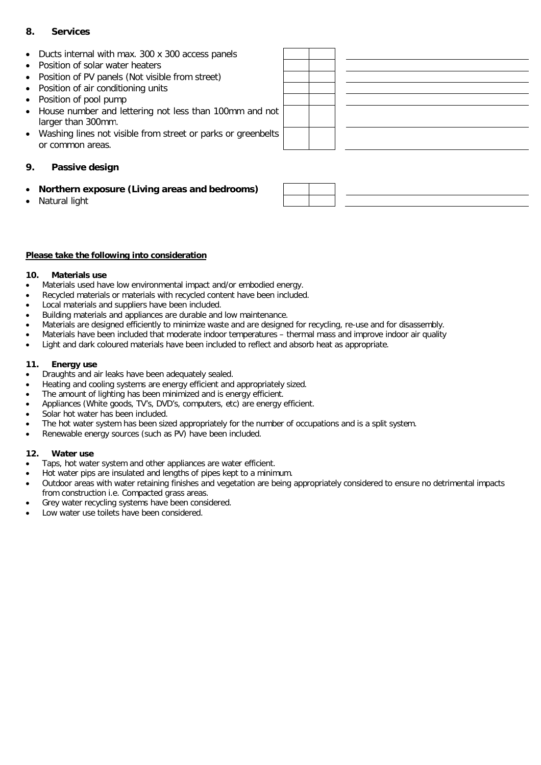# **8. Services**

- Ducts internal with max. 300 x 300 access panels Position of solar water heaters • Position of PV panels (Not visible from street) • Position of air conditioning units • Position of pool pump House number and lettering not less than 100mm and not larger than 300mm. Washing lines not visible from street or parks or greenbelts or common areas. **9. Passive design**
- 

**Northern exposure (Living areas and bedrooms)**

# **Please take the following into consideration**

## **10. Materials use**

Natural light

- Materials used have low environmental impact and/or embodied energy.
- Recycled materials or materials with recycled content have been included.
- Local materials and suppliers have been included.
- Building materials and appliances are durable and low maintenance.
- Materials are designed efficiently to minimize waste and are designed for recycling, re-use and for disassembly.
- Materials have been included that moderate indoor temperatures thermal mass and improve indoor air quality
	- Light and dark coloured materials have been included to reflect and absorb heat as appropriate.

#### **11. Energy use**

- Draughts and air leaks have been adequately sealed.
- Heating and cooling systems are energy efficient and appropriately sized.
- The amount of lighting has been minimized and is energy efficient.
- Appliances (White goods, TV's, DVD's, computers, etc) are energy efficient.
- Solar hot water has been included.
- The hot water system has been sized appropriately for the number of occupations and is a split system.
- Renewable energy sources (such as PV) have been included.

## **12. Water use**

- Taps, hot water system and other appliances are water efficient.
- Hot water pips are insulated and lengths of pipes kept to a minimum.
- Outdoor areas with water retaining finishes and vegetation are being appropriately considered to ensure no detrimental impacts from construction i.e. Compacted grass areas.
- Grey water recycling systems have been considered.
- Low water use toilets have been considered.